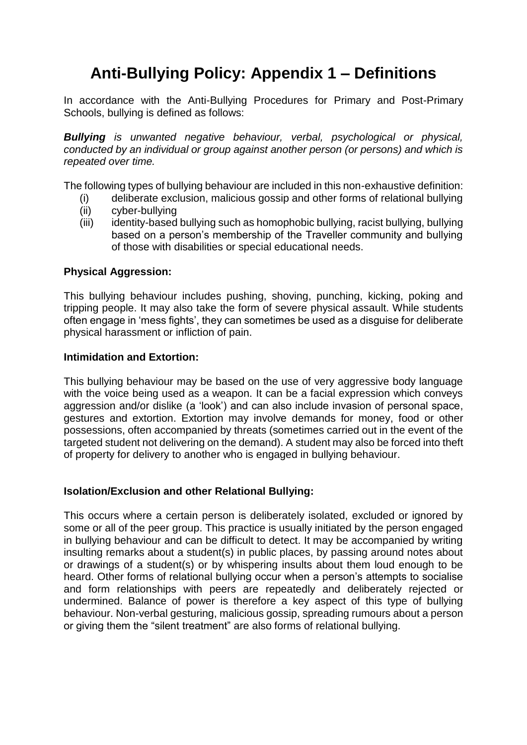# **Anti-Bullying Policy: Appendix 1 – Definitions**

In accordance with the Anti-Bullying Procedures for Primary and Post-Primary Schools, bullying is defined as follows:

*Bullying is unwanted negative behaviour, verbal, psychological or physical, conducted by an individual or group against another person (or persons) and which is repeated over time.* 

The following types of bullying behaviour are included in this non-exhaustive definition:

- (i) deliberate exclusion, malicious gossip and other forms of relational bullying
- (ii) cyber-bullying
- (iii) identity-based bullying such as homophobic bullying, racist bullying, bullying based on a person's membership of the Traveller community and bullying of those with disabilities or special educational needs.

## **Physical Aggression:**

This bullying behaviour includes pushing, shoving, punching, kicking, poking and tripping people. It may also take the form of severe physical assault. While students often engage in 'mess fights', they can sometimes be used as a disguise for deliberate physical harassment or infliction of pain.

## **Intimidation and Extortion:**

This bullying behaviour may be based on the use of very aggressive body language with the voice being used as a weapon. It can be a facial expression which conveys aggression and/or dislike (a 'look') and can also include invasion of personal space, gestures and extortion. Extortion may involve demands for money, food or other possessions, often accompanied by threats (sometimes carried out in the event of the targeted student not delivering on the demand). A student may also be forced into theft of property for delivery to another who is engaged in bullying behaviour.

#### **Isolation/Exclusion and other Relational Bullying:**

This occurs where a certain person is deliberately isolated, excluded or ignored by some or all of the peer group. This practice is usually initiated by the person engaged in bullying behaviour and can be difficult to detect. It may be accompanied by writing insulting remarks about a student(s) in public places, by passing around notes about or drawings of a student(s) or by whispering insults about them loud enough to be heard. Other forms of relational bullying occur when a person's attempts to socialise and form relationships with peers are repeatedly and deliberately rejected or undermined. Balance of power is therefore a key aspect of this type of bullying behaviour. Non-verbal gesturing, malicious gossip, spreading rumours about a person or giving them the "silent treatment" are also forms of relational bullying.